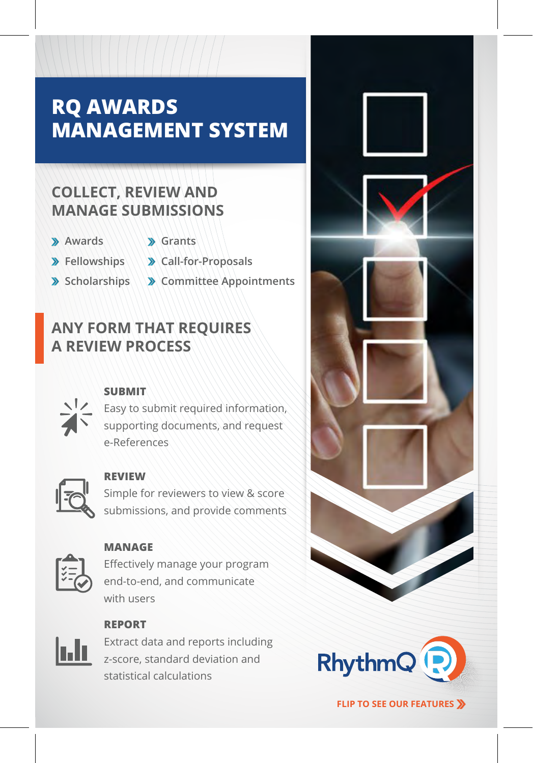# **RQ AWARDS MANAGEMENT SYSTEM**

### **COLLECT, REVIEW AND MANAGE SUBMISSIONS**

- **Awards**
- **Grants**
- **Fellowships**
- **Call-for-Proposals**
- **Scholarships**
- **Committee Appointments**

### **ANY FORM THAT REQUIRES A REVIEW PROCESS**



#### **SUBMIT**

Easy to submit required information, supporting documents, and request e-References



#### **REVIEW**

Simple for reviewers to view & score submissions, and provide comments



#### **MANAGE**

Effectively manage your program end-to-end, and communicate with users



**REPORT**

Extract data and reports including z-score, standard deviation and statistical calculations